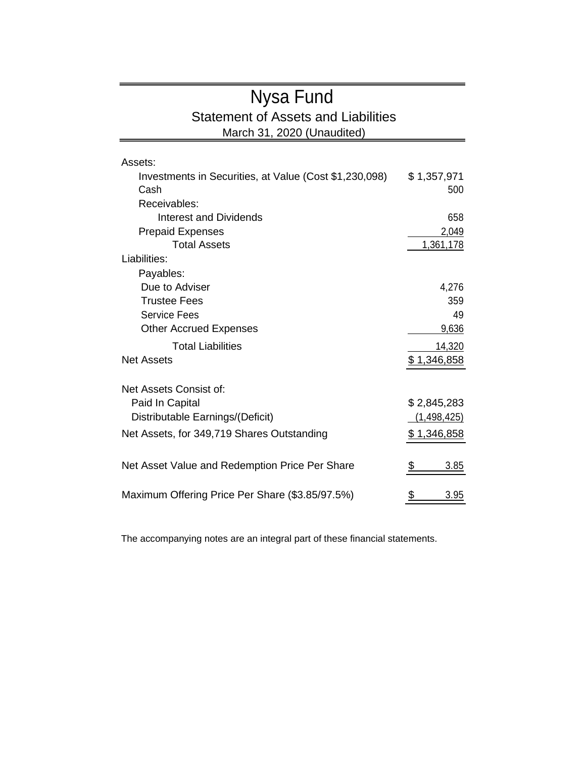## Nysa Fund Statement of Assets and Liabilities

March 31, 2020 (Unaudited)

| Assets:                                                |               |
|--------------------------------------------------------|---------------|
| Investments in Securities, at Value (Cost \$1,230,098) | \$1,357,971   |
| Cash                                                   | 500           |
| Receivables:                                           |               |
| Interest and Dividends                                 | 658           |
| <b>Prepaid Expenses</b>                                | 2,049         |
| <b>Total Assets</b>                                    | 1,361,178     |
| Liabilities:                                           |               |
| Payables:                                              |               |
| Due to Adviser                                         | 4,276         |
| <b>Trustee Fees</b>                                    | 359           |
| Service Fees                                           | 49            |
| <b>Other Accrued Expenses</b>                          | 9,636         |
| <b>Total Liabilities</b>                               | 14,320        |
| Net Assets                                             | \$1,346,858   |
|                                                        |               |
| Net Assets Consist of:                                 |               |
| Paid In Capital                                        | \$2,845,283   |
| Distributable Earnings/(Deficit)                       | (1, 498, 425) |
| Net Assets, for 349,719 Shares Outstanding             | \$1,346,858   |
|                                                        |               |
| Net Asset Value and Redemption Price Per Share         | \$<br>3.85    |
|                                                        |               |
| Maximum Offering Price Per Share (\$3.85/97.5%)        | 3.95          |

The accompanying notes are an integral part of these financial statements.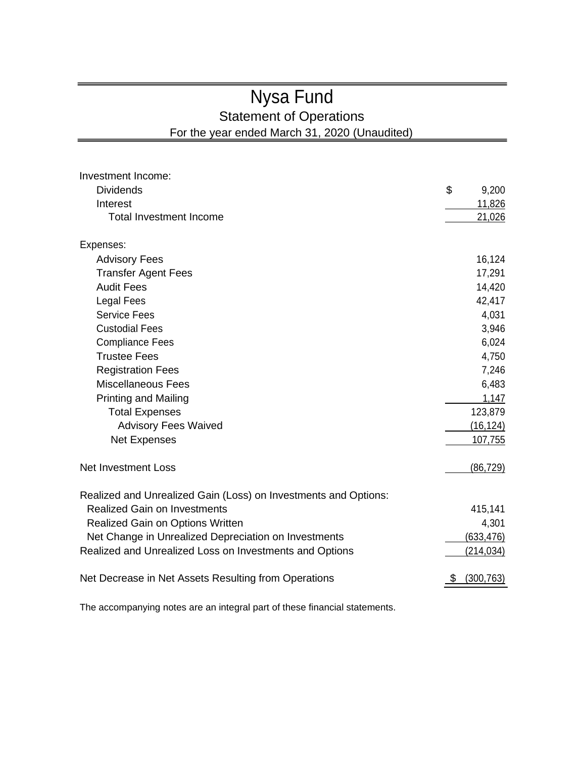# Nysa Fund

Statement of Operations

For the year ended March 31, 2020 (Unaudited)

| Investment Income:                                              |             |  |
|-----------------------------------------------------------------|-------------|--|
| <b>Dividends</b>                                                | \$<br>9,200 |  |
| Interest                                                        | 11,826      |  |
| <b>Total Investment Income</b>                                  | 21,026      |  |
| Expenses:                                                       |             |  |
| <b>Advisory Fees</b>                                            | 16,124      |  |
| <b>Transfer Agent Fees</b>                                      | 17,291      |  |
| <b>Audit Fees</b>                                               | 14,420      |  |
| <b>Legal Fees</b>                                               | 42,417      |  |
| <b>Service Fees</b>                                             | 4,031       |  |
| <b>Custodial Fees</b>                                           | 3,946       |  |
| <b>Compliance Fees</b>                                          | 6,024       |  |
| <b>Trustee Fees</b>                                             | 4,750       |  |
| <b>Registration Fees</b>                                        | 7,246       |  |
| <b>Miscellaneous Fees</b>                                       | 6,483       |  |
| <b>Printing and Mailing</b>                                     | 1,147       |  |
| <b>Total Expenses</b>                                           | 123,879     |  |
| <b>Advisory Fees Waived</b>                                     | (16, 124)   |  |
| <b>Net Expenses</b>                                             | 107,755     |  |
| <b>Net Investment Loss</b>                                      | (86, 729)   |  |
| Realized and Unrealized Gain (Loss) on Investments and Options: |             |  |
| <b>Realized Gain on Investments</b>                             | 415,141     |  |
| Realized Gain on Options Written                                | 4,301       |  |
| Net Change in Unrealized Depreciation on Investments            | (633, 476)  |  |
| Realized and Unrealized Loss on Investments and Options         | (214, 034)  |  |
| Net Decrease in Net Assets Resulting from Operations            | (300, 763)  |  |

The accompanying notes are an integral part of these financial statements.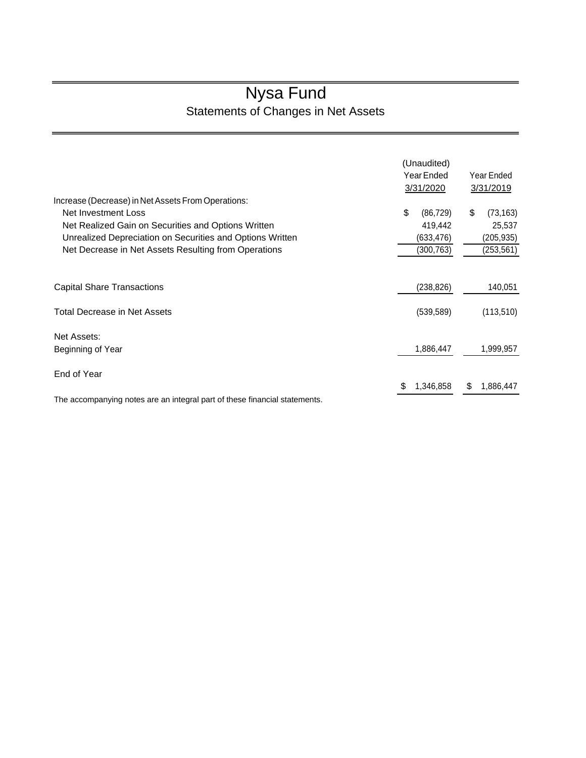# Nysa Fund

Statements of Changes in Net Assets

|                                                                            | (Unaudited)     |                 |
|----------------------------------------------------------------------------|-----------------|-----------------|
|                                                                            | Year Ended      | Year Ended      |
|                                                                            | 3/31/2020       | 3/31/2019       |
| Increase (Decrease) in Net Assets From Operations:                         |                 |                 |
| Net Investment Loss                                                        | \$<br>(86, 729) | \$<br>(73, 163) |
| Net Realized Gain on Securities and Options Written                        | 419,442         | 25,537          |
| Unrealized Depreciation on Securities and Options Written                  | (633, 476)      | (205, 935)      |
| Net Decrease in Net Assets Resulting from Operations                       | (300,763)       | (253,561)       |
| <b>Capital Share Transactions</b>                                          | (238, 826)      | 140,051         |
| <b>Total Decrease in Net Assets</b>                                        | (539, 589)      | (113, 510)      |
| Net Assets:                                                                |                 |                 |
| Beginning of Year                                                          | 1,886,447       | 1,999,957       |
| End of Year                                                                |                 |                 |
|                                                                            | \$<br>1,346,858 | \$<br>1,886,447 |
| The accompanying notes are an integral part of these financial statements. |                 |                 |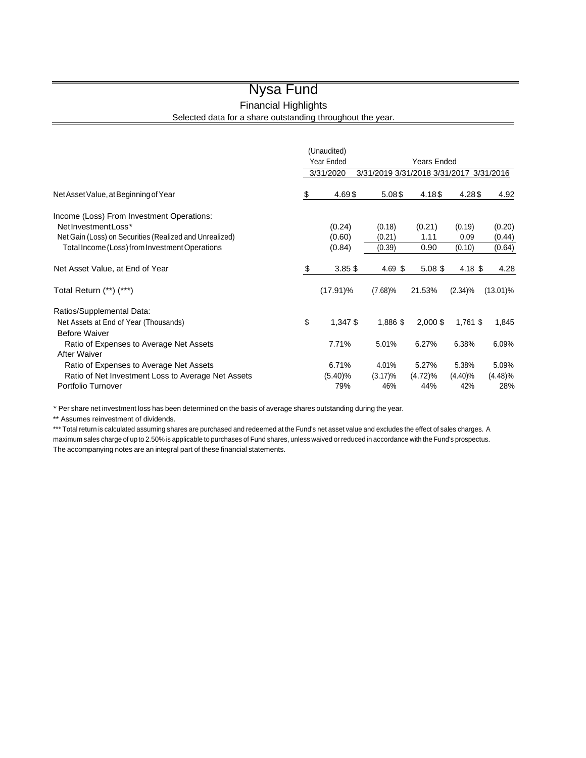### Nysa Fund

Financial Highlights

Selected data for a share outstanding throughout the year.

|                                                         |            | (Unaudited) |                               |                    |            |             |  |
|---------------------------------------------------------|------------|-------------|-------------------------------|--------------------|------------|-------------|--|
|                                                         | Year Ended |             |                               | <b>Years Ended</b> |            |             |  |
|                                                         |            | 3/31/2020   | 3/31/2019 3/31/2018 3/31/2017 |                    |            | 3/31/2016   |  |
| Net Asset Value, at Beginning of Year                   | \$         | 4.69\$      | 5.08\$                        | 4.18\$             | 4.28\$     | 4.92        |  |
| Income (Loss) From Investment Operations:               |            |             |                               |                    |            |             |  |
| NetInvestmentLoss*                                      |            | (0.24)      | (0.18)                        | (0.21)             | (0.19)     | (0.20)      |  |
| Net Gain (Loss) on Securities (Realized and Unrealized) |            | (0.60)      | (0.21)                        | 1.11               | 0.09       | (0.44)      |  |
| Total Income (Loss) from Investment Operations          |            | (0.84)      | (0.39)                        | 0.90               | (0.10)     | (0.64)      |  |
| Net Asset Value, at End of Year                         | \$         | $3.85$ \$   | $4.69$ \$                     | $5.08$ \$          | 4.18 \$    | 4.28        |  |
| Total Return (**) (***)                                 |            | $(17.91)\%$ | $(7.68)\%$                    | 21.53%             | $(2.34)\%$ | $(13.01)\%$ |  |
| Ratios/Supplemental Data:                               |            |             |                               |                    |            |             |  |
| Net Assets at End of Year (Thousands)                   | \$         | 1,347 \$    | 1,886 \$                      | $2,000$ \$         | $1,761$ \$ | 1,845       |  |
| <b>Before Waiver</b>                                    |            |             |                               |                    |            |             |  |
| Ratio of Expenses to Average Net Assets                 |            | 7.71%       | 5.01%                         | 6.27%              | 6.38%      | 6.09%       |  |
| <b>After Waiver</b>                                     |            |             |                               |                    |            |             |  |
| Ratio of Expenses to Average Net Assets                 |            | 6.71%       | 4.01%                         | 5.27%              | 5.38%      | 5.09%       |  |
| Ratio of Net Investment Loss to Average Net Assets      |            | $(5.40)\%$  | $(3.17)\%$                    | $(4.72)\%$         | $(4.40)\%$ | (4.48)%     |  |
| Portfolio Turnover                                      |            | 79%         | 46%                           | 44%                | 42%        | 28%         |  |

\* Per share net investment loss has been determined on the basis of average shares outstanding during the year.

\*\* Assumes reinvestment of dividends.

\*\*\* Total return is calculated assuming shares are purchased and redeemed at the Fund's net asset value and excludes the effect of sales charges. A maximum sales charge of up to 2.50% is applicable to purchases of Fund shares, unless waived or reduced in accordance with the Fund's prospectus. The accompanying notes are an integral part of these financial statements.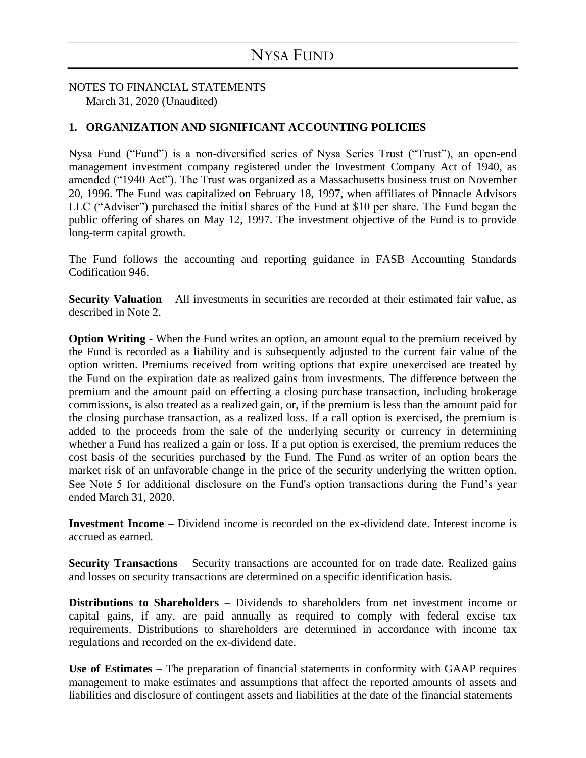NOTES TO FINANCIAL STATEMENTS March 31, 2020 (Unaudited)

### **1. ORGANIZATION AND SIGNIFICANT ACCOUNTING POLICIES**

Nysa Fund ("Fund") is a non-diversified series of Nysa Series Trust ("Trust"), an open-end management investment company registered under the Investment Company Act of 1940, as amended ("1940 Act"). The Trust was organized as a Massachusetts business trust on November 20, 1996. The Fund was capitalized on February 18, 1997, when affiliates of Pinnacle Advisors LLC ("Adviser") purchased the initial shares of the Fund at \$10 per share. The Fund began the public offering of shares on May 12, 1997. The investment objective of the Fund is to provide long-term capital growth.

The Fund follows the accounting and reporting guidance in FASB Accounting Standards Codification 946.

**Security Valuation** – All investments in securities are recorded at their estimated fair value, as described in Note 2.

**Option Writing -** When the Fund writes an option, an amount equal to the premium received by the Fund is recorded as a liability and is subsequently adjusted to the current fair value of the option written. Premiums received from writing options that expire unexercised are treated by the Fund on the expiration date as realized gains from investments. The difference between the premium and the amount paid on effecting a closing purchase transaction, including brokerage commissions, is also treated as a realized gain, or, if the premium is less than the amount paid for the closing purchase transaction, as a realized loss. If a call option is exercised, the premium is added to the proceeds from the sale of the underlying security or currency in determining whether a Fund has realized a gain or loss. If a put option is exercised, the premium reduces the cost basis of the securities purchased by the Fund. The Fund as writer of an option bears the market risk of an unfavorable change in the price of the security underlying the written option. See Note 5 for additional disclosure on the Fund's option transactions during the Fund's year ended March 31, 2020.

**Investment Income** – Dividend income is recorded on the ex-dividend date. Interest income is accrued as earned.

**Security Transactions** – Security transactions are accounted for on trade date. Realized gains and losses on security transactions are determined on a specific identification basis.

**Distributions to Shareholders** – Dividends to shareholders from net investment income or capital gains, if any, are paid annually as required to comply with federal excise tax requirements. Distributions to shareholders are determined in accordance with income tax regulations and recorded on the ex-dividend date.

**Use of Estimates** – The preparation of financial statements in conformity with GAAP requires management to make estimates and assumptions that affect the reported amounts of assets and liabilities and disclosure of contingent assets and liabilities at the date of the financial statements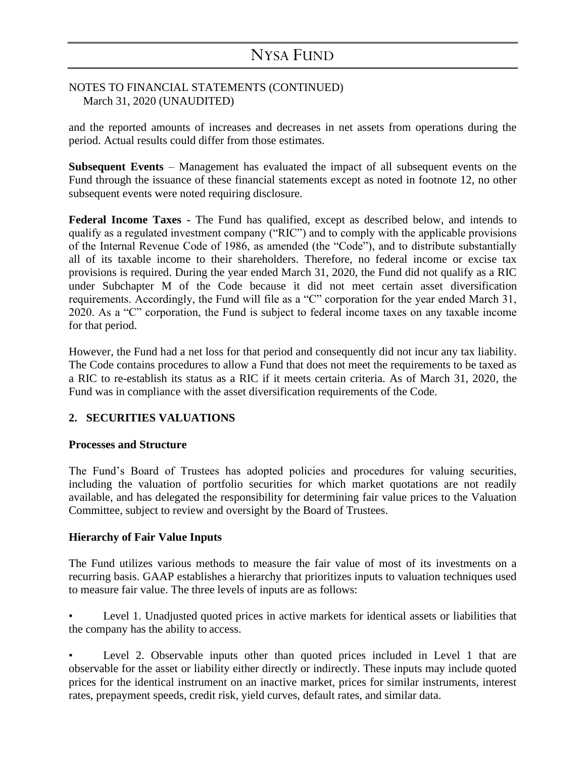### NOTES TO FINANCIAL STATEMENTS (CONTINUED) March 31, 2020 (UNAUDITED)

and the reported amounts of increases and decreases in net assets from operations during the period. Actual results could differ from those estimates.

**Subsequent Events** – Management has evaluated the impact of all subsequent events on the Fund through the issuance of these financial statements except as noted in footnote 12, no other subsequent events were noted requiring disclosure.

**Federal Income Taxes -** The Fund has qualified, except as described below, and intends to qualify as a regulated investment company ("RIC") and to comply with the applicable provisions of the Internal Revenue Code of 1986, as amended (the "Code"), and to distribute substantially all of its taxable income to their shareholders. Therefore, no federal income or excise tax provisions is required. During the year ended March 31, 2020, the Fund did not qualify as a RIC under Subchapter M of the Code because it did not meet certain asset diversification requirements. Accordingly, the Fund will file as a "C" corporation for the year ended March 31, 2020. As a "C" corporation, the Fund is subject to federal income taxes on any taxable income for that period.

However, the Fund had a net loss for that period and consequently did not incur any tax liability. The Code contains procedures to allow a Fund that does not meet the requirements to be taxed as a RIC to re-establish its status as a RIC if it meets certain criteria. As of March 31, 2020, the Fund was in compliance with the asset diversification requirements of the Code.

### **2. SECURITIES VALUATIONS**

### **Processes and Structure**

The Fund's Board of Trustees has adopted policies and procedures for valuing securities, including the valuation of portfolio securities for which market quotations are not readily available, and has delegated the responsibility for determining fair value prices to the Valuation Committee, subject to review and oversight by the Board of Trustees.

### **Hierarchy of Fair Value Inputs**

The Fund utilizes various methods to measure the fair value of most of its investments on a recurring basis. GAAP establishes a hierarchy that prioritizes inputs to valuation techniques used to measure fair value. The three levels of inputs are as follows:

• Level 1. Unadjusted quoted prices in active markets for identical assets or liabilities that the company has the ability to access.

Level 2. Observable inputs other than quoted prices included in Level 1 that are observable for the asset or liability either directly or indirectly. These inputs may include quoted prices for the identical instrument on an inactive market, prices for similar instruments, interest rates, prepayment speeds, credit risk, yield curves, default rates, and similar data.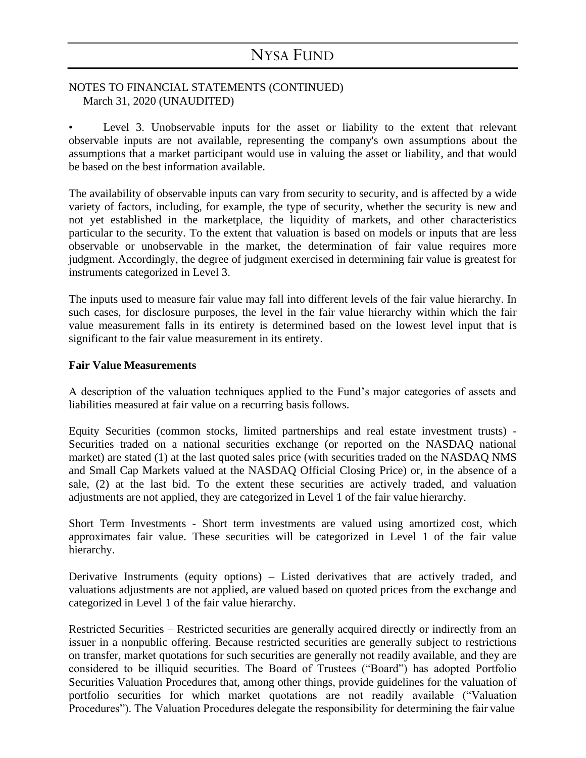### NOTES TO FINANCIAL STATEMENTS (CONTINUED) March 31, 2020 (UNAUDITED)

Level 3. Unobservable inputs for the asset or liability to the extent that relevant observable inputs are not available, representing the company's own assumptions about the assumptions that a market participant would use in valuing the asset or liability, and that would be based on the best information available.

The availability of observable inputs can vary from security to security, and is affected by a wide variety of factors, including, for example, the type of security, whether the security is new and not yet established in the marketplace, the liquidity of markets, and other characteristics particular to the security. To the extent that valuation is based on models or inputs that are less observable or unobservable in the market, the determination of fair value requires more judgment. Accordingly, the degree of judgment exercised in determining fair value is greatest for instruments categorized in Level 3.

The inputs used to measure fair value may fall into different levels of the fair value hierarchy. In such cases, for disclosure purposes, the level in the fair value hierarchy within which the fair value measurement falls in its entirety is determined based on the lowest level input that is significant to the fair value measurement in its entirety.

#### **Fair Value Measurements**

A description of the valuation techniques applied to the Fund's major categories of assets and liabilities measured at fair value on a recurring basis follows.

Equity Securities (common stocks, limited partnerships and real estate investment trusts) - Securities traded on a national securities exchange (or reported on the NASDAQ national market) are stated (1) at the last quoted sales price (with securities traded on the NASDAQ NMS and Small Cap Markets valued at the NASDAQ Official Closing Price) or, in the absence of a sale, (2) at the last bid. To the extent these securities are actively traded, and valuation adjustments are not applied, they are categorized in Level 1 of the fair value hierarchy.

Short Term Investments - Short term investments are valued using amortized cost, which approximates fair value. These securities will be categorized in Level 1 of the fair value hierarchy.

Derivative Instruments (equity options) – Listed derivatives that are actively traded, and valuations adjustments are not applied, are valued based on quoted prices from the exchange and categorized in Level 1 of the fair value hierarchy.

Restricted Securities – Restricted securities are generally acquired directly or indirectly from an issuer in a nonpublic offering. Because restricted securities are generally subject to restrictions on transfer, market quotations for such securities are generally not readily available, and they are considered to be illiquid securities. The Board of Trustees ("Board") has adopted Portfolio Securities Valuation Procedures that, among other things, provide guidelines for the valuation of portfolio securities for which market quotations are not readily available ("Valuation Procedures"). The Valuation Procedures delegate the responsibility for determining the fair value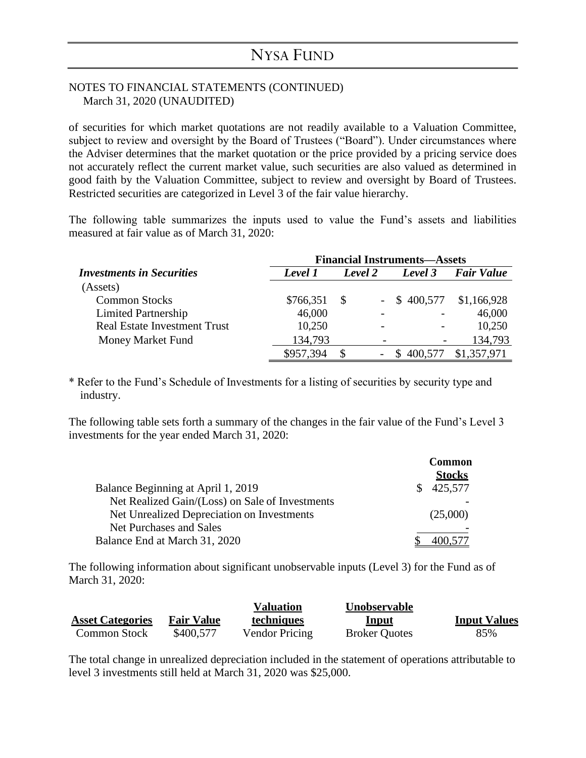#### NOTES TO FINANCIAL STATEMENTS (CONTINUED) March 31, 2020 (UNAUDITED)

of securities for which market quotations are not readily available to a Valuation Committee, subject to review and oversight by the Board of Trustees ("Board"). Under circumstances where the Adviser determines that the market quotation or the price provided by a pricing service does not accurately reflect the current market value, such securities are also valued as determined in good faith by the Valuation Committee, subject to review and oversight by Board of Trustees. Restricted securities are categorized in Level 3 of the fair value hierarchy.

The following table summarizes the inputs used to value the Fund's assets and liabilities measured at fair value as of March 31, 2020:

|                                     | <b>Financial Instruments—Assets</b> |         |                          |                |                   |  |
|-------------------------------------|-------------------------------------|---------|--------------------------|----------------|-------------------|--|
| <b>Investments in Securities</b>    | Level 1                             | Level 2 |                          | Level 3        | <b>Fair Value</b> |  |
| (Assets)                            |                                     |         |                          |                |                   |  |
| <b>Common Stocks</b>                | \$766,351                           | S       |                          | $-$ \$ 400,577 | \$1,166,928       |  |
| Limited Partnership                 | 46,000                              |         |                          |                | 46,000            |  |
| <b>Real Estate Investment Trust</b> | 10,250                              |         | $\overline{\phantom{a}}$ |                | 10,250            |  |
| Money Market Fund                   | 134,793                             |         |                          |                | 134,793           |  |
|                                     | \$957,394                           | S.      |                          | 400,577        | \$1,357,971       |  |

\* Refer to the Fund's Schedule of Investments for a listing of securities by security type and industry.

The following table sets forth a summary of the changes in the fair value of the Fund's Level 3 investments for the year ended March 31, 2020:

|                                                 | <b>Common</b> |
|-------------------------------------------------|---------------|
|                                                 | <b>Stocks</b> |
| Balance Beginning at April 1, 2019              | 425,577       |
| Net Realized Gain/(Loss) on Sale of Investments |               |
| Net Unrealized Depreciation on Investments      | (25,000)      |
| Net Purchases and Sales                         |               |
| Balance End at March 31, 2020                   |               |

The following information about significant unobservable inputs (Level 3) for the Fund as of March 31, 2020:

|                         |                   | <b>Valuation</b>      | <b>Unobservable</b>  |                     |
|-------------------------|-------------------|-----------------------|----------------------|---------------------|
| <b>Asset Categories</b> | <b>Fair Value</b> | techniques            | <u>Input</u>         | <b>Input Values</b> |
| Common Stock            | \$400,577         | <b>Vendor Pricing</b> | <b>Broker Quotes</b> | 85%                 |

The total change in unrealized depreciation included in the statement of operations attributable to level 3 investments still held at March 31, 2020 was \$25,000.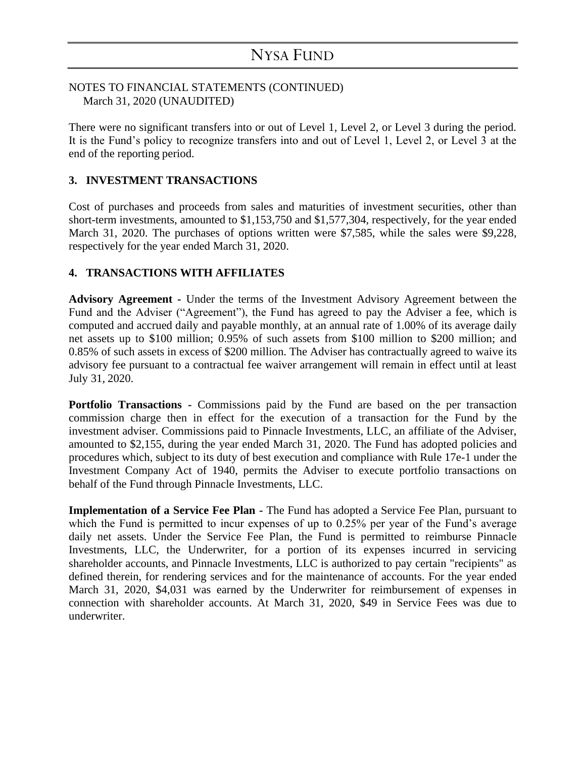### NOTES TO FINANCIAL STATEMENTS (CONTINUED) March 31, 2020 (UNAUDITED)

There were no significant transfers into or out of Level 1, Level 2, or Level 3 during the period. It is the Fund's policy to recognize transfers into and out of Level 1, Level 2, or Level 3 at the end of the reporting period.

### **3. INVESTMENT TRANSACTIONS**

Cost of purchases and proceeds from sales and maturities of investment securities, other than short-term investments, amounted to \$1,153,750 and \$1,577,304, respectively, for the year ended March 31, 2020. The purchases of options written were \$7,585, while the sales were \$9,228, respectively for the year ended March 31, 2020.

### **4. TRANSACTIONS WITH AFFILIATES**

**Advisory Agreement -** Under the terms of the Investment Advisory Agreement between the Fund and the Adviser ("Agreement"), the Fund has agreed to pay the Adviser a fee, which is computed and accrued daily and payable monthly, at an annual rate of 1.00% of its average daily net assets up to \$100 million; 0.95% of such assets from \$100 million to \$200 million; and 0.85% of such assets in excess of \$200 million. The Adviser has contractually agreed to waive its advisory fee pursuant to a contractual fee waiver arrangement will remain in effect until at least July 31, 2020.

**Portfolio Transactions -** Commissions paid by the Fund are based on the per transaction commission charge then in effect for the execution of a transaction for the Fund by the investment adviser. Commissions paid to Pinnacle Investments, LLC, an affiliate of the Adviser, amounted to \$2,155, during the year ended March 31, 2020. The Fund has adopted policies and procedures which, subject to its duty of best execution and compliance with Rule 17e-1 under the Investment Company Act of 1940, permits the Adviser to execute portfolio transactions on behalf of the Fund through Pinnacle Investments, LLC.

**Implementation of a Service Fee Plan -** The Fund has adopted a Service Fee Plan, pursuant to which the Fund is permitted to incur expenses of up to 0.25% per year of the Fund's average daily net assets. Under the Service Fee Plan, the Fund is permitted to reimburse Pinnacle Investments, LLC, the Underwriter, for a portion of its expenses incurred in servicing shareholder accounts, and Pinnacle Investments, LLC is authorized to pay certain "recipients" as defined therein, for rendering services and for the maintenance of accounts. For the year ended March 31, 2020, \$4,031 was earned by the Underwriter for reimbursement of expenses in connection with shareholder accounts. At March 31, 2020, \$49 in Service Fees was due to underwriter.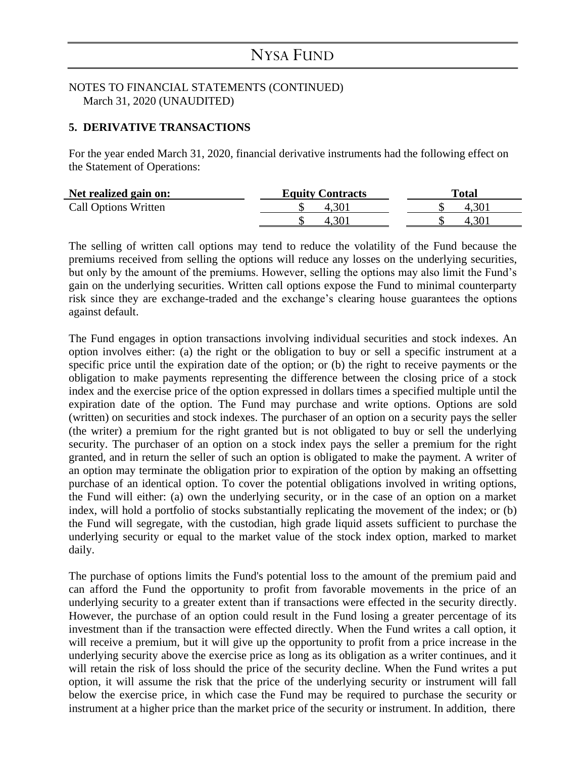#### NOTES TO FINANCIAL STATEMENTS (CONTINUED) March 31, 2020 (UNAUDITED)

#### **5. DERIVATIVE TRANSACTIONS**

For the year ended March 31, 2020, financial derivative instruments had the following effect on the Statement of Operations:

| Net realized gain on:       | <b>Equity Contracts</b> | Total |
|-----------------------------|-------------------------|-------|
| <b>Call Options Written</b> |                         |       |
|                             |                         |       |

The selling of written call options may tend to reduce the volatility of the Fund because the premiums received from selling the options will reduce any losses on the underlying securities, but only by the amount of the premiums. However, selling the options may also limit the Fund's gain on the underlying securities. Written call options expose the Fund to minimal counterparty risk since they are exchange-traded and the exchange's clearing house guarantees the options against default.

The Fund engages in option transactions involving individual securities and stock indexes. An option involves either: (a) the right or the obligation to buy or sell a specific instrument at a specific price until the expiration date of the option; or (b) the right to receive payments or the obligation to make payments representing the difference between the closing price of a stock index and the exercise price of the option expressed in dollars times a specified multiple until the expiration date of the option. The Fund may purchase and write options. Options are sold (written) on securities and stock indexes. The purchaser of an option on a security pays the seller (the writer) a premium for the right granted but is not obligated to buy or sell the underlying security. The purchaser of an option on a stock index pays the seller a premium for the right granted, and in return the seller of such an option is obligated to make the payment. A writer of an option may terminate the obligation prior to expiration of the option by making an offsetting purchase of an identical option. To cover the potential obligations involved in writing options, the Fund will either: (a) own the underlying security, or in the case of an option on a market index, will hold a portfolio of stocks substantially replicating the movement of the index; or (b) the Fund will segregate, with the custodian, high grade liquid assets sufficient to purchase the underlying security or equal to the market value of the stock index option, marked to market daily.

The purchase of options limits the Fund's potential loss to the amount of the premium paid and can afford the Fund the opportunity to profit from favorable movements in the price of an underlying security to a greater extent than if transactions were effected in the security directly. However, the purchase of an option could result in the Fund losing a greater percentage of its investment than if the transaction were effected directly. When the Fund writes a call option, it will receive a premium, but it will give up the opportunity to profit from a price increase in the underlying security above the exercise price as long as its obligation as a writer continues, and it will retain the risk of loss should the price of the security decline. When the Fund writes a put option, it will assume the risk that the price of the underlying security or instrument will fall below the exercise price, in which case the Fund may be required to purchase the security or instrument at a higher price than the market price of the security or instrument. In addition, there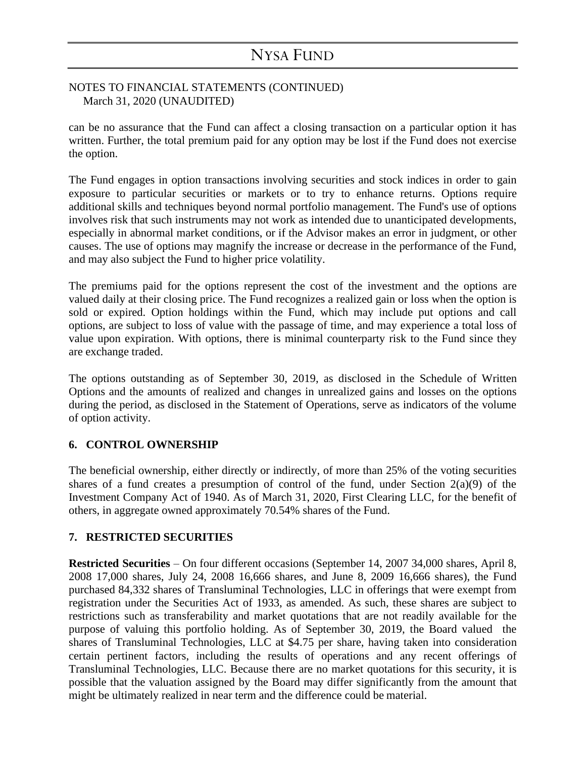#### NOTES TO FINANCIAL STATEMENTS (CONTINUED) March 31, 2020 (UNAUDITED)

can be no assurance that the Fund can affect a closing transaction on a particular option it has written. Further, the total premium paid for any option may be lost if the Fund does not exercise the option.

The Fund engages in option transactions involving securities and stock indices in order to gain exposure to particular securities or markets or to try to enhance returns. Options require additional skills and techniques beyond normal portfolio management. The Fund's use of options involves risk that such instruments may not work as intended due to unanticipated developments, especially in abnormal market conditions, or if the Advisor makes an error in judgment, or other causes. The use of options may magnify the increase or decrease in the performance of the Fund, and may also subject the Fund to higher price volatility.

The premiums paid for the options represent the cost of the investment and the options are valued daily at their closing price. The Fund recognizes a realized gain or loss when the option is sold or expired. Option holdings within the Fund, which may include put options and call options, are subject to loss of value with the passage of time, and may experience a total loss of value upon expiration. With options, there is minimal counterparty risk to the Fund since they are exchange traded.

The options outstanding as of September 30, 2019, as disclosed in the Schedule of Written Options and the amounts of realized and changes in unrealized gains and losses on the options during the period, as disclosed in the Statement of Operations, serve as indicators of the volume of option activity.

### **6. CONTROL OWNERSHIP**

The beneficial ownership, either directly or indirectly, of more than 25% of the voting securities shares of a fund creates a presumption of control of the fund, under Section  $2(a)(9)$  of the Investment Company Act of 1940. As of March 31, 2020, First Clearing LLC, for the benefit of others, in aggregate owned approximately 70.54% shares of the Fund.

### **7. RESTRICTED SECURITIES**

**Restricted Securities** – On four different occasions (September 14, 2007 34,000 shares, April 8, 2008 17,000 shares, July 24, 2008 16,666 shares, and June 8, 2009 16,666 shares), the Fund purchased 84,332 shares of Transluminal Technologies, LLC in offerings that were exempt from registration under the Securities Act of 1933, as amended. As such, these shares are subject to restrictions such as transferability and market quotations that are not readily available for the purpose of valuing this portfolio holding. As of September 30, 2019, the Board valued the shares of Transluminal Technologies, LLC at \$4.75 per share, having taken into consideration certain pertinent factors, including the results of operations and any recent offerings of Transluminal Technologies, LLC. Because there are no market quotations for this security, it is possible that the valuation assigned by the Board may differ significantly from the amount that might be ultimately realized in near term and the difference could be material.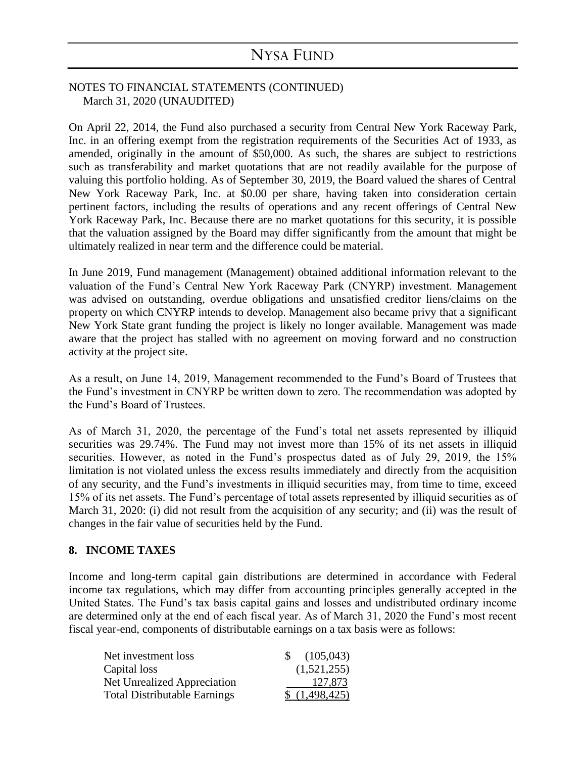#### NOTES TO FINANCIAL STATEMENTS (CONTINUED) March 31, 2020 (UNAUDITED)

On April 22, 2014, the Fund also purchased a security from Central New York Raceway Park, Inc. in an offering exempt from the registration requirements of the Securities Act of 1933, as amended, originally in the amount of \$50,000. As such, the shares are subject to restrictions such as transferability and market quotations that are not readily available for the purpose of valuing this portfolio holding. As of September 30, 2019, the Board valued the shares of Central New York Raceway Park, Inc. at \$0.00 per share, having taken into consideration certain pertinent factors, including the results of operations and any recent offerings of Central New York Raceway Park, Inc. Because there are no market quotations for this security, it is possible that the valuation assigned by the Board may differ significantly from the amount that might be ultimately realized in near term and the difference could be material.

In June 2019, Fund management (Management) obtained additional information relevant to the valuation of the Fund's Central New York Raceway Park (CNYRP) investment. Management was advised on outstanding, overdue obligations and unsatisfied creditor liens/claims on the property on which CNYRP intends to develop. Management also became privy that a significant New York State grant funding the project is likely no longer available. Management was made aware that the project has stalled with no agreement on moving forward and no construction activity at the project site.

As a result, on June 14, 2019, Management recommended to the Fund's Board of Trustees that the Fund's investment in CNYRP be written down to zero. The recommendation was adopted by the Fund's Board of Trustees.

As of March 31, 2020, the percentage of the Fund's total net assets represented by illiquid securities was 29.74%. The Fund may not invest more than 15% of its net assets in illiquid securities. However, as noted in the Fund's prospectus dated as of July 29, 2019, the 15% limitation is not violated unless the excess results immediately and directly from the acquisition of any security, and the Fund's investments in illiquid securities may, from time to time, exceed 15% of its net assets. The Fund's percentage of total assets represented by illiquid securities as of March 31, 2020: (i) did not result from the acquisition of any security; and (ii) was the result of changes in the fair value of securities held by the Fund.

### **8. INCOME TAXES**

Income and long-term capital gain distributions are determined in accordance with Federal income tax regulations, which may differ from accounting principles generally accepted in the United States. The Fund's tax basis capital gains and losses and undistributed ordinary income are determined only at the end of each fiscal year. As of March 31, 2020 the Fund's most recent fiscal year-end, components of distributable earnings on a tax basis were as follows:

| Net investment loss                 | $\frac{105,043}{2}$ |
|-------------------------------------|---------------------|
| Capital loss                        | (1,521,255)         |
| Net Unrealized Appreciation         | 127,873             |
| <b>Total Distributable Earnings</b> | \$(1,498,425)       |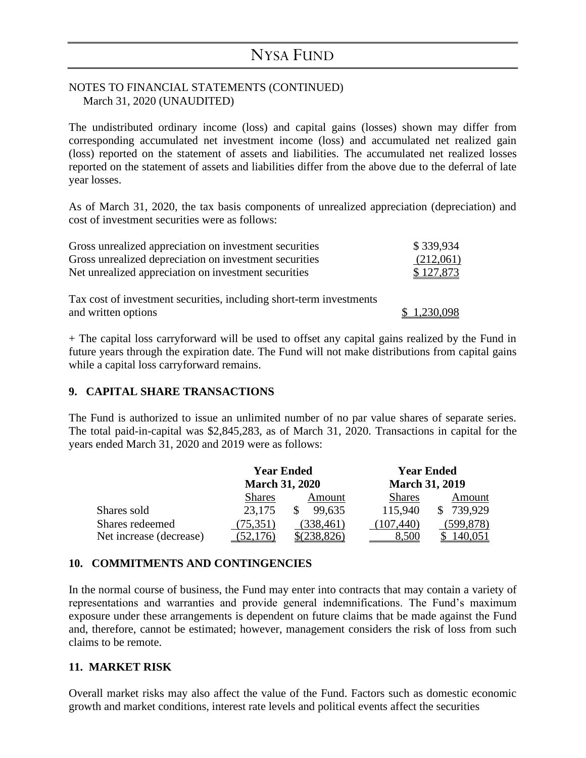### NOTES TO FINANCIAL STATEMENTS (CONTINUED) March 31, 2020 (UNAUDITED)

The undistributed ordinary income (loss) and capital gains (losses) shown may differ from corresponding accumulated net investment income (loss) and accumulated net realized gain (loss) reported on the statement of assets and liabilities. The accumulated net realized losses reported on the statement of assets and liabilities differ from the above due to the deferral of late year losses.

As of March 31, 2020, the tax basis components of unrealized appreciation (depreciation) and cost of investment securities were as follows:

| Gross unrealized appreciation on investment securities              | \$339,934   |
|---------------------------------------------------------------------|-------------|
| Gross unrealized depreciation on investment securities              | (212,061)   |
| Net unrealized appreciation on investment securities                | \$127,873   |
| Tax cost of investment securities, including short-term investments |             |
| and written options                                                 | \$1,230,098 |

+ The capital loss carryforward will be used to offset any capital gains realized by the Fund in future years through the expiration date. The Fund will not make distributions from capital gains while a capital loss carryforward remains.

### **9. CAPITAL SHARE TRANSACTIONS**

The Fund is authorized to issue an unlimited number of no par value shares of separate series. The total paid-in-capital was \$2,845,283, as of March 31, 2020. Transactions in capital for the years ended March 31, 2020 and 2019 were as follows:

|                         | <b>Year Ended</b>     |            | <b>Year Ended</b>     |            |  |
|-------------------------|-----------------------|------------|-----------------------|------------|--|
|                         | <b>March 31, 2020</b> |            | <b>March 31, 2019</b> |            |  |
|                         | <b>Shares</b>         | Amount     | <b>Shares</b>         | Amount     |  |
| Shares sold             | 23,175                | 99.635     | 115,940               | 739,929    |  |
| Shares redeemed         | (75, 351)             | (338, 461) | (107, 440)            | (599, 878) |  |
| Net increase (decrease) |                       |            |                       |            |  |

### **10. COMMITMENTS AND CONTINGENCIES**

In the normal course of business, the Fund may enter into contracts that may contain a variety of representations and warranties and provide general indemnifications. The Fund's maximum exposure under these arrangements is dependent on future claims that be made against the Fund and, therefore, cannot be estimated; however, management considers the risk of loss from such claims to be remote.

### **11. MARKET RISK**

Overall market risks may also affect the value of the Fund. Factors such as domestic economic growth and market conditions, interest rate levels and political events affect the securities